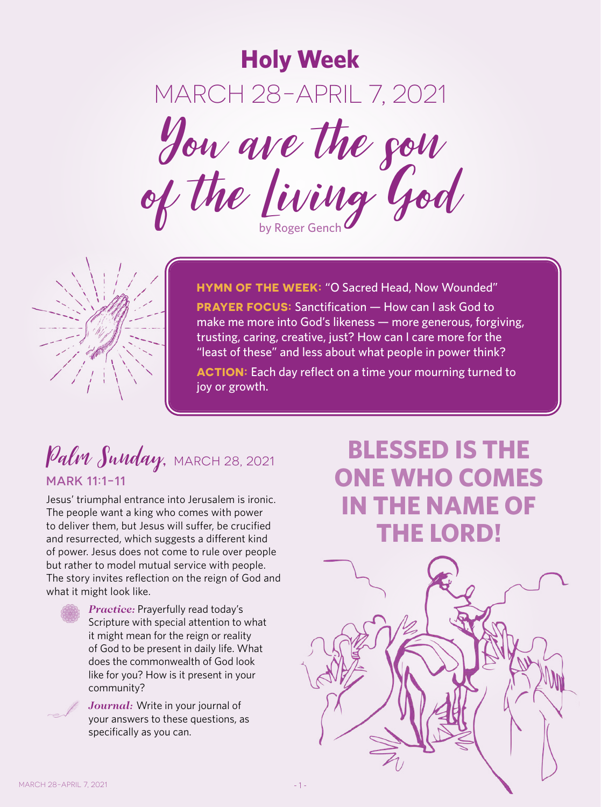**Holy Week** MARCH 28-APRIL 7, 2021 You are the son of the Living God



**HYMN OF THE WEEK:** "O Sacred Head, Now Wounded" **PRAYER FOCUS:** Sanctification — How can I ask God to make me more into God's likeness — more generous, forgiving, trusting, caring, creative, just? How can I care more for the "least of these" and less about what people in power think?

**ACTION:** Each day reflect on a time your mourning turned to joy or growth.

#### Palm Sunday, MARCH 28, 2021 MARK 11:1-11

Jesus' triumphal entrance into Jerusalem is ironic. The people want a king who comes with power to deliver them, but Jesus will suffer, be crucified and resurrected, which suggests a different kind of power. Jesus does not come to rule over people but rather to model mutual service with people. The story invites reflection on the reign of God and what it might look like.



*Practice:* Prayerfully read today's Scripture with special attention to what it might mean for the reign or reality of God to be present in daily life. What does the commonwealth of God look like for you? How is it present in your community?



*Journal:* Write in your journal of your answers to these questions, as specifically as you can.

# **BLESSED IS THE ONE WHO COMES IN THE NAME OF THE LORD!**

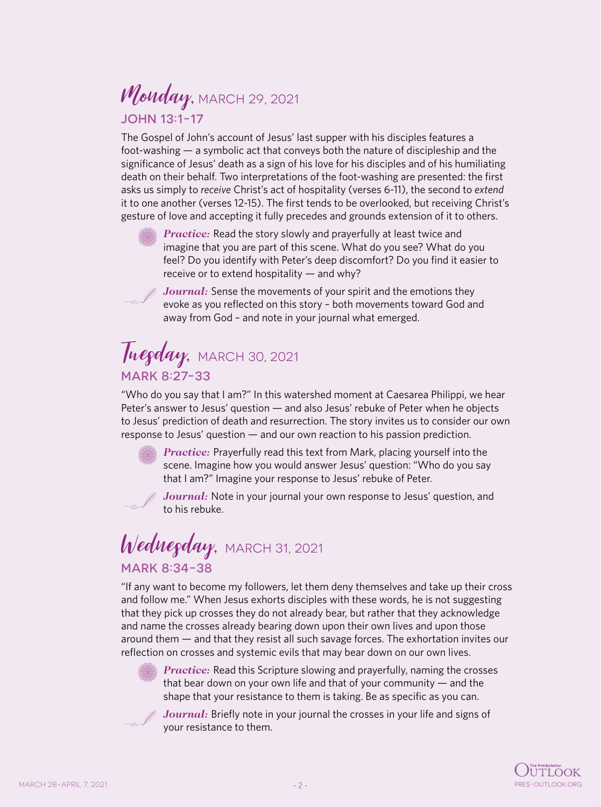## Monday, MARCH 29, 2021 JOHN 13:1-17

The Gospel of John's account of Jesus' last supper with his disciples features a foot-washing — a symbolic act that conveys both the nature of discipleship and the significance of Jesus' death as a sign of his love for his disciples and of his humiliating death on their behalf. Two interpretations of the foot-washing are presented: the first asks us simply to *receive* Christ's act of hospitality (verses 6-11), the second to *extend* it to one another (verses 12-15). The first tends to be overlooked, but receiving Christ's gesture of love and accepting it fully precedes and grounds extension of it to others.



*Practice:* Read the story slowly and prayerfully at least twice and imagine that you are part of this scene. What do you see? What do you feel? Do you identify with Peter's deep discomfort? Do you find it easier to receive or to extend hospitality — and why?



*Journal:* Sense the movements of your spirit and the emotions they evoke as you reflected on this story – both movements toward God and away from God – and note in your journal what emerged.

## Tuegday, MARCH 30, 2021 MARK 8:27-33

"Who do you say that I am?" In this watershed moment at Caesarea Philippi, we hear Peter's answer to Jesus' question — and also Jesus' rebuke of Peter when he objects to Jesus' prediction of death and resurrection. The story invites us to consider our own response to Jesus' question — and our own reaction to his passion prediction.



*Practice:* Prayerfully read this text from Mark, placing yourself into the scene. Imagine how you would answer Jesus' question: "Who do you say that I am?" Imagine your response to Jesus' rebuke of Peter.



*Journal:* Note in your journal your own response to Jesus' question, and to his rebuke.

#### Wednegday, MARCH 31, 2021 MARK 8:34-38

"If any want to become my followers, let them deny themselves and take up their cross and follow me." When Jesus exhorts disciples with these words, he is not suggesting that they pick up crosses they do not already bear, but rather that they acknowledge and name the crosses already bearing down upon their own lives and upon those around them — and that they resist all such savage forces. The exhortation invites our reflection on crosses and systemic evils that may bear down on our own lives.



*Practice:* Read this Scripture slowing and prayerfully, naming the crosses that bear down on your own life and that of your community — and the shape that your resistance to them is taking. Be as specific as you can.



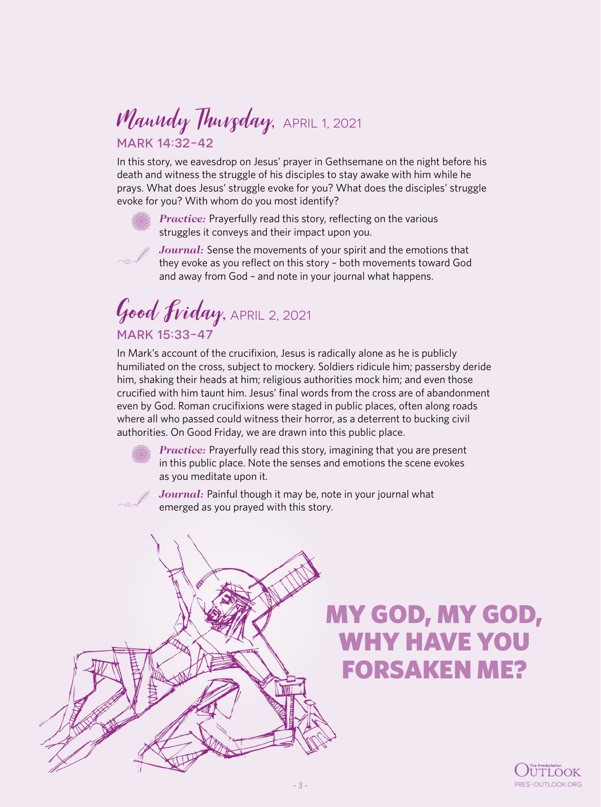#### Manndy Thurgday, APRIL 1, 2021 MARK 14:32-42

In this story, we eavesdrop on Jesus' prayer in Gethsemane on the night before his death and witness the struggle of his disciples to stay awake with him while he prays. What does Jesus' struggle evoke for you? What does the disciples' struggle evoke for you? With whom do you most identify?



*Practice:* Prayerfully read this story, reflecting on the various struggles it conveys and their impact upon you.



*Journal:* Sense the movements of your spirit and the emotions that they evoke as you reflect on this story – both movements toward God and away from God – and note in your journal what happens.

Good Friday, APRIL 2, 2021 MARK 15:33-47

In Mark's account of the crucifixion, Jesus is radically alone as he is publicly humiliated on the cross, subject to mockery. Soldiers ridicule him; passersby deride him, shaking their heads at him; religious authorities mock him; and even those crucified with him taunt him. Jesus' final words from the cross are of abandonment even by God. Roman crucifixions were staged in public places, often along roads where all who passed could witness their horror, as a deterrent to bucking civil authorities. On Good Friday, we are drawn into this public place.

> *Practice:* Prayerfully read this story, imagining that you are present in this public place. Note the senses and emotions the scene evokes as you meditate upon it.

Journal: Painful though it may be, note in your journal what emerged as you prayed with this story.



# MY GOD, MY GOD, WHY HAVE YOU FORSAKEN ME?